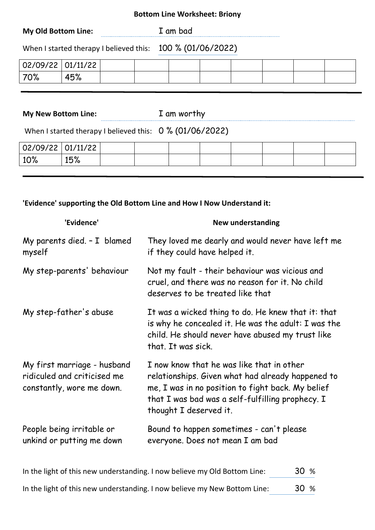### **Bottom Line Worksheet: Briony**

| When I started therapy I believed this: 100 % (01/06/2022) | <b>My Old Bottom Line:</b> | I am bad |
|------------------------------------------------------------|----------------------------|----------|
|                                                            |                            |          |

| 02/09/22 01/11/22 |     |  |  |  |  |
|-------------------|-----|--|--|--|--|
| 70%               | 45% |  |  |  |  |

**My New Bottom Line:** I am worthy

When I started therapy I believed this: 0 % (01/06/2022)

| $02/09/22$ $01/11/22$ |     |  |  |  |  |
|-----------------------|-----|--|--|--|--|
| $10\%$                | 15% |  |  |  |  |
|                       |     |  |  |  |  |

### **'Evidence' supporting the Old Bottom Line and How I Now Understand it:**

| 'Evidence'                                                                              | <b>New understanding</b>                                                                                                                                                                                                          |
|-----------------------------------------------------------------------------------------|-----------------------------------------------------------------------------------------------------------------------------------------------------------------------------------------------------------------------------------|
| My parents died. - I blamed<br>myself                                                   | They loved me dearly and would never have left me<br>if they could have helped it.                                                                                                                                                |
| My step-parents' behaviour                                                              | Not my fault - their behaviour was vicious and<br>cruel, and there was no reason for it. No child<br>deserves to be treated like that                                                                                             |
| My step-father's abuse                                                                  | It was a wicked thing to do. He knew that it: that<br>is why he concealed it. He was the adult: I was the<br>child. He should never have abused my trust like<br>that. It was sick.                                               |
| My first marriage - husband<br>ridiculed and criticised me<br>constantly, wore me down. | I now know that he was like that in other<br>relationships. Given what had already happened to<br>me, I was in no position to fight back. My belief<br>that I was bad was a self-fulfilling prophecy. I<br>thought I deserved it. |
| People being irritable or<br>unkind or putting me down                                  | Bound to happen sometimes - can't please<br>everyone. Does not mean I am bad                                                                                                                                                      |

| In the light of this new understanding. I now believe my Old Bottom Line: | 30 % |
|---------------------------------------------------------------------------|------|
| In the light of this new understanding. I now believe my New Bottom Line: | 30 % |